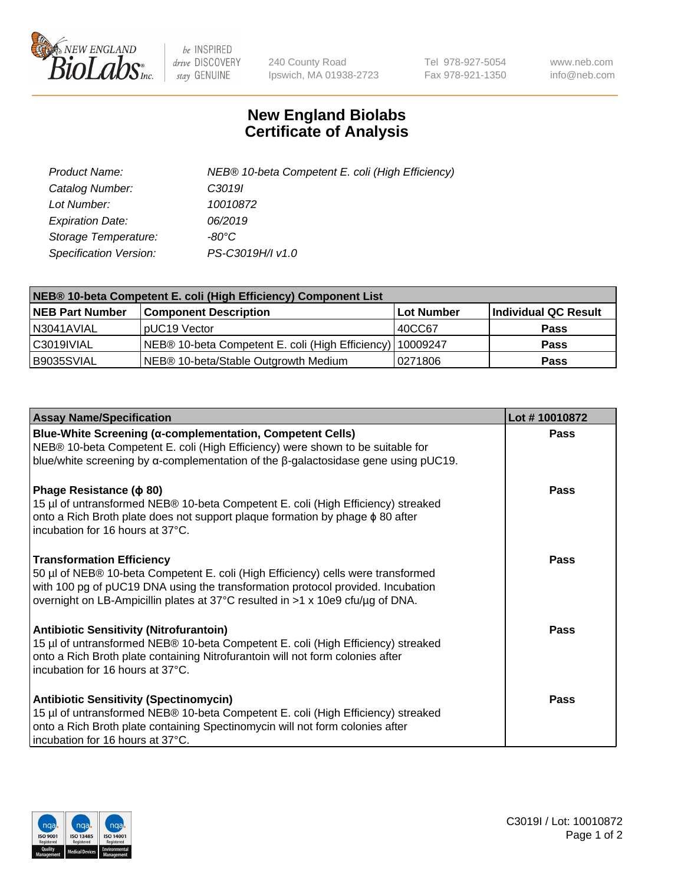

 $be$  INSPIRED drive DISCOVERY stay GENUINE

240 County Road Ipswich, MA 01938-2723 Tel 978-927-5054 Fax 978-921-1350 www.neb.com info@neb.com

## **New England Biolabs Certificate of Analysis**

| Product Name:                 | NEB® 10-beta Competent E. coli (High Efficiency) |
|-------------------------------|--------------------------------------------------|
| Catalog Number:               | C <sub>3019</sub>                                |
| Lot Number:                   | 10010872                                         |
| <b>Expiration Date:</b>       | 06/2019                                          |
| Storage Temperature:          | -80°C                                            |
| <b>Specification Version:</b> | PS-C3019H/I v1.0                                 |

| NEB® 10-beta Competent E. coli (High Efficiency) Component List |                                                             |            |                      |  |
|-----------------------------------------------------------------|-------------------------------------------------------------|------------|----------------------|--|
| <b>NEB Part Number</b>                                          | <b>Component Description</b>                                | Lot Number | Individual QC Result |  |
| N3041AVIAL                                                      | pUC19 Vector                                                | 140CC67    | <b>Pass</b>          |  |
| C3019IVIAL                                                      | NEB® 10-beta Competent E. coli (High Efficiency)   10009247 |            | <b>Pass</b>          |  |
| B9035SVIAL                                                      | NEB® 10-beta/Stable Outgrowth Medium                        | 10271806   | <b>Pass</b>          |  |

| <b>Assay Name/Specification</b>                                                                                                                                                                                                                                                           | Lot #10010872 |
|-------------------------------------------------------------------------------------------------------------------------------------------------------------------------------------------------------------------------------------------------------------------------------------------|---------------|
| Blue-White Screening (α-complementation, Competent Cells)<br>NEB® 10-beta Competent E. coli (High Efficiency) were shown to be suitable for<br>blue/white screening by $\alpha$ -complementation of the $\beta$ -galactosidase gene using pUC19.                                          | Pass          |
| Phage Resistance ( $\phi$ 80)<br>15 µl of untransformed NEB® 10-beta Competent E. coli (High Efficiency) streaked<br>onto a Rich Broth plate does not support plaque formation by phage $\phi$ 80 after<br>incubation for 16 hours at 37°C.                                               | <b>Pass</b>   |
| <b>Transformation Efficiency</b><br>50 µl of NEB® 10-beta Competent E. coli (High Efficiency) cells were transformed<br>with 100 pg of pUC19 DNA using the transformation protocol provided. Incubation<br>overnight on LB-Ampicillin plates at 37°C resulted in >1 x 10e9 cfu/µg of DNA. | Pass          |
| <b>Antibiotic Sensitivity (Nitrofurantoin)</b><br>15 µl of untransformed NEB® 10-beta Competent E. coli (High Efficiency) streaked<br>onto a Rich Broth plate containing Nitrofurantoin will not form colonies after<br>incubation for 16 hours at 37°C.                                  | Pass          |
| <b>Antibiotic Sensitivity (Spectinomycin)</b><br>15 µl of untransformed NEB® 10-beta Competent E. coli (High Efficiency) streaked<br>onto a Rich Broth plate containing Spectinomycin will not form colonies after<br>incubation for 16 hours at 37°C.                                    | Pass          |